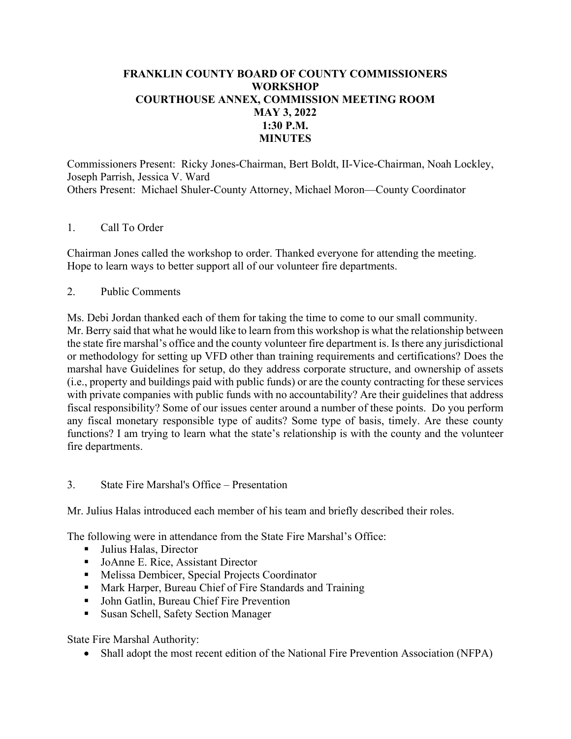## **FRANKLIN COUNTY BOARD OF COUNTY COMMISSIONERS WORKSHOP COURTHOUSE ANNEX, COMMISSION MEETING ROOM MAY 3, 2022 1:30 P.M. MINUTES**

Commissioners Present: Ricky Jones-Chairman, Bert Boldt, II-Vice-Chairman, Noah Lockley, Joseph Parrish, Jessica V. Ward Others Present: Michael Shuler-County Attorney, Michael Moron—County Coordinator

### 1. Call To Order

Chairman Jones called the workshop to order. Thanked everyone for attending the meeting. Hope to learn ways to better support all of our volunteer fire departments.

### 2. Public Comments

Ms. Debi Jordan thanked each of them for taking the time to come to our small community. Mr. Berry said that what he would like to learn from this workshop is what the relationship between the state fire marshal's office and the county volunteer fire department is. Is there any jurisdictional or methodology for setting up VFD other than training requirements and certifications? Does the marshal have Guidelines for setup, do they address corporate structure, and ownership of assets (i.e., property and buildings paid with public funds) or are the county contracting for these services with private companies with public funds with no accountability? Are their guidelines that address fiscal responsibility? Some of our issues center around a number of these points. Do you perform any fiscal monetary responsible type of audits? Some type of basis, timely. Are these county functions? I am trying to learn what the state's relationship is with the county and the volunteer fire departments.

### 3. State Fire Marshal's Office – Presentation

Mr. Julius Halas introduced each member of his team and briefly described their roles.

The following were in attendance from the State Fire Marshal's Office:

- Julius Halas, Director
- JoAnne E. Rice, Assistant Director
- Melissa Dembicer, Special Projects Coordinator
- Mark Harper, Bureau Chief of Fire Standards and Training
- John Gatlin, Bureau Chief Fire Prevention
- **Susan Schell, Safety Section Manager**

State Fire Marshal Authority:

• Shall adopt the most recent edition of the National Fire Prevention Association (NFPA)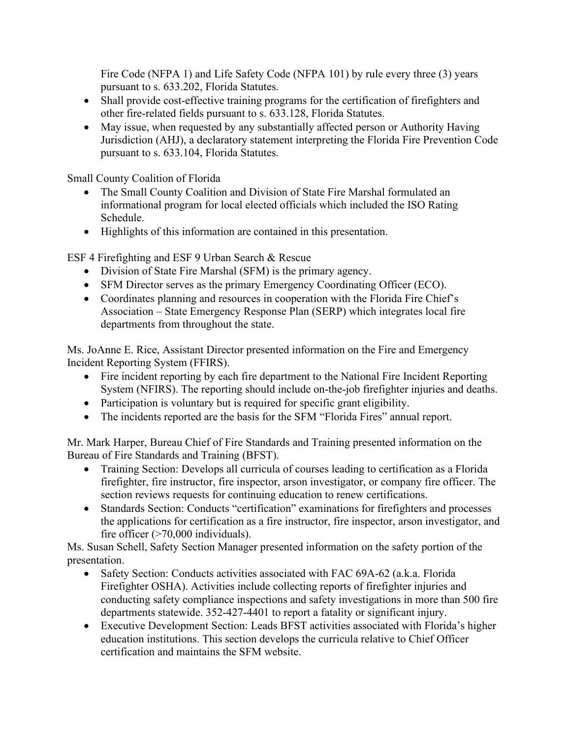Fire Code (NFPA 1) and Life Safety Code (NFPA 101) by rule every three (3) years pursuant to s. 633.202, Florida Statutes.

- Shall provide cost-effective training programs for the certification of firefighters and other fire-related fields pursuant to s. 633.128, Florida Statutes.
- May issue, when requested by any substantially affected person or Authority Having Jurisdiction (AHJ), a declaratory statement interpreting the Florida Fire Prevention Code pursuant to s. 633.104, Florida Statutes.

Small County Coalition of Florida

- The Small County Coalition and Division of State Fire Marshal formulated an informational program for local elected officials which included the ISO Rating Schedule.
- Highlights of this information are contained in this presentation.

ESF 4 Firefighting and ESF 9 Urban Search & Rescue

- Division of State Fire Marshal (SFM) is the primary agency.
- SFM Director serves as the primary Emergency Coordinating Officer (ECO).
- Coordinates planning and resources in cooperation with the Florida Fire Chief's Association – State Emergency Response Plan (SERP) which integrates local fire departments from throughout the state.

Ms. JoAnne E. Rice, Assistant Director presented information on the Fire and Emergency Incident Reporting System (FFIRS).

- Fire incident reporting by each fire department to the National Fire Incident Reporting System (NFIRS). The reporting should include on-the-job firefighter injuries and deaths.
- Participation is voluntary but is required for specific grant eligibility.
- The incidents reported are the basis for the SFM "Florida Fires" annual report.

Mr. Mark Harper, Bureau Chief of Fire Standards and Training presented information on the Bureau of Fire Standards and Training (BFST).

- Training Section: Develops all curricula of courses leading to certification as a Florida firefighter, fire instructor, fire inspector, arson investigator, or company fire officer. The section reviews requests for continuing education to renew certifications.
- Standards Section: Conducts "certification" examinations for firefighters and processes the applications for certification as a fire instructor, fire inspector, arson investigator, and fire officer  $($ >70,000 individuals).

Ms. Susan Schell, Safety Section Manager presented information on the safety portion of the presentation.

- Safety Section: Conducts activities associated with FAC 69A-62 (a.k.a. Florida Firefighter OSHA). Activities include collecting reports of firefighter injuries and conducting safety compliance inspections and safety investigations in more than 500 fire departments statewide. 352-427-4401 to report a fatality or significant injury.
- Executive Development Section: Leads BFST activities associated with Florida's higher education institutions. This section develops the curricula relative to Chief Officer certification and maintains the SFM website.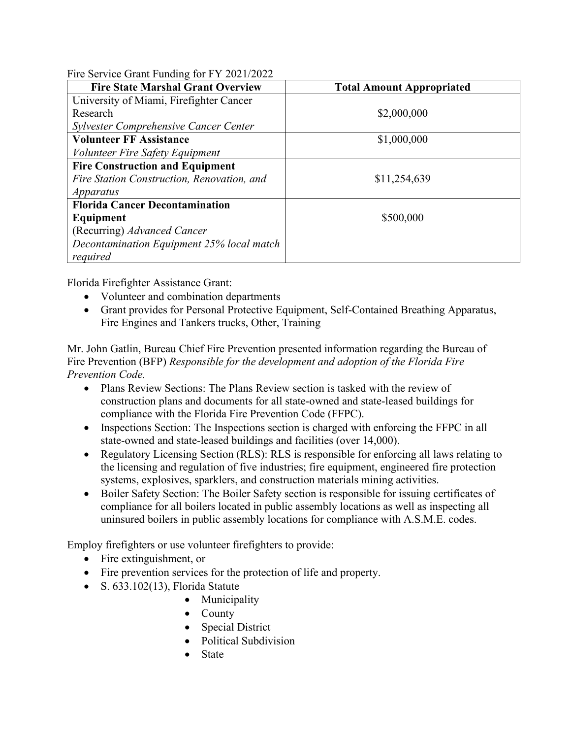Fire Service Grant Funding for FY 2021/2022

| <b>Fire State Marshal Grant Overview</b>   | <b>Total Amount Appropriated</b> |
|--------------------------------------------|----------------------------------|
| University of Miami, Firefighter Cancer    |                                  |
| Research                                   | \$2,000,000                      |
| Sylvester Comprehensive Cancer Center      |                                  |
| <b>Volunteer FF Assistance</b>             | \$1,000,000                      |
| Volunteer Fire Safety Equipment            |                                  |
| <b>Fire Construction and Equipment</b>     |                                  |
| Fire Station Construction, Renovation, and | \$11,254,639                     |
| <i>Apparatus</i>                           |                                  |
| <b>Florida Cancer Decontamination</b>      |                                  |
| Equipment                                  | \$500,000                        |
| (Recurring) Advanced Cancer                |                                  |
| Decontamination Equipment 25% local match  |                                  |
| required                                   |                                  |

Florida Firefighter Assistance Grant:

- Volunteer and combination departments
- Grant provides for Personal Protective Equipment, Self-Contained Breathing Apparatus, Fire Engines and Tankers trucks, Other, Training

Mr. John Gatlin, Bureau Chief Fire Prevention presented information regarding the Bureau of Fire Prevention (BFP) *Responsible for the development and adoption of the Florida Fire Prevention Code.*

- Plans Review Sections: The Plans Review section is tasked with the review of construction plans and documents for all state-owned and state-leased buildings for compliance with the Florida Fire Prevention Code (FFPC).
- Inspections Section: The Inspections section is charged with enforcing the FFPC in all state-owned and state-leased buildings and facilities (over 14,000).
- Regulatory Licensing Section (RLS): RLS is responsible for enforcing all laws relating to the licensing and regulation of five industries; fire equipment, engineered fire protection systems, explosives, sparklers, and construction materials mining activities.
- Boiler Safety Section: The Boiler Safety section is responsible for issuing certificates of compliance for all boilers located in public assembly locations as well as inspecting all uninsured boilers in public assembly locations for compliance with A.S.M.E. codes.

Employ firefighters or use volunteer firefighters to provide:

- Fire extinguishment, or
- Fire prevention services for the protection of life and property.
- S.  $633.102(13)$ , Florida Statute
	- Municipality
	- County
	- Special District
	- Political Subdivision
	- State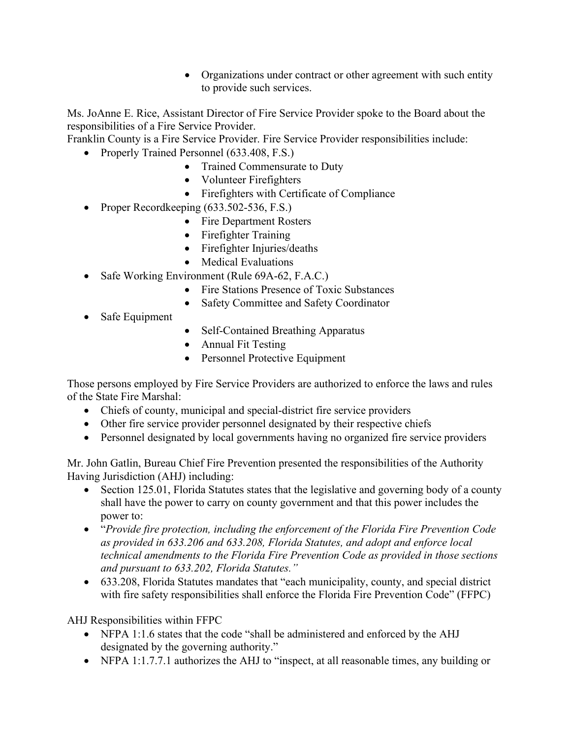• Organizations under contract or other agreement with such entity to provide such services.

Ms. JoAnne E. Rice, Assistant Director of Fire Service Provider spoke to the Board about the responsibilities of a Fire Service Provider.

Franklin County is a Fire Service Provider. Fire Service Provider responsibilities include:

- Properly Trained Personnel (633.408, F.S.)
	- Trained Commensurate to Duty
	- Volunteer Firefighters
	- Firefighters with Certificate of Compliance
- Proper Recordkeeping (633.502-536, F.S.)
	- Fire Department Rosters
	- Firefighter Training
	- Firefighter Injuries/deaths
	- Medical Evaluations
- Safe Working Environment (Rule 69A-62, F.A.C.)
	- Fire Stations Presence of Toxic Substances
	- Safety Committee and Safety Coordinator
- Safe Equipment
- Self-Contained Breathing Apparatus
- Annual Fit Testing
- Personnel Protective Equipment

Those persons employed by Fire Service Providers are authorized to enforce the laws and rules of the State Fire Marshal:

- Chiefs of county, municipal and special-district fire service providers
- Other fire service provider personnel designated by their respective chiefs
- Personnel designated by local governments having no organized fire service providers

Mr. John Gatlin, Bureau Chief Fire Prevention presented the responsibilities of the Authority Having Jurisdiction (AHJ) including:

- Section 125.01, Florida Statutes states that the legislative and governing body of a county shall have the power to carry on county government and that this power includes the power to:
- "*Provide fire protection, including the enforcement of the Florida Fire Prevention Code as provided in 633.206 and 633.208, Florida Statutes, and adopt and enforce local technical amendments to the Florida Fire Prevention Code as provided in those sections and pursuant to 633.202, Florida Statutes."*
- 633.208, Florida Statutes mandates that "each municipality, county, and special district with fire safety responsibilities shall enforce the Florida Fire Prevention Code" (FFPC)

AHJ Responsibilities within FFPC

- NFPA 1:1.6 states that the code "shall be administered and enforced by the AHJ designated by the governing authority."
- NFPA 1:1.7.7.1 authorizes the AHJ to "inspect, at all reasonable times, any building or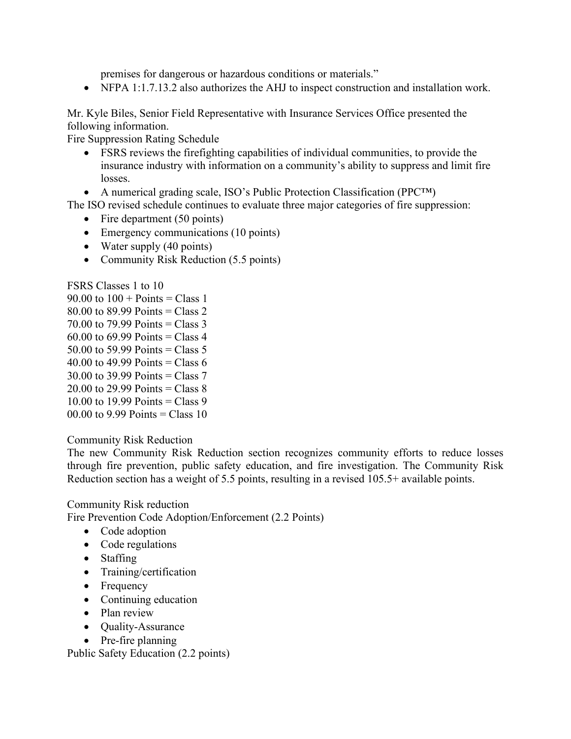premises for dangerous or hazardous conditions or materials."

• NFPA 1:1.7.13.2 also authorizes the AHJ to inspect construction and installation work.

Mr. Kyle Biles, Senior Field Representative with Insurance Services Office presented the following information.

Fire Suppression Rating Schedule

- FSRS reviews the firefighting capabilities of individual communities, to provide the insurance industry with information on a community's ability to suppress and limit fire losses.
- A numerical grading scale, ISO's Public Protection Classification (PPC™)

The ISO revised schedule continues to evaluate three major categories of fire suppression:

- Fire department (50 points)
- Emergency communications (10 points)
- Water supply (40 points)
- Community Risk Reduction (5.5 points)

FSRS Classes 1 to 10

- 90.00 to  $100 +$  Points = Class 1 80.00 to 89.99 Points = Class 2 70.00 to 79.99 Points = Class 3 60.00 to 69.99 Points = Class 4 50.00 to 59.99 Points = Class 5 40.00 to 49.99 Points = Class 6 30.00 to 39.99 Points = Class 7
- 20.00 to 29.99 Points = Class  $8$
- 10.00 to 19.99 Points = Class 9
- 00.00 to 9.99 Points = Class 10

### Community Risk Reduction

The new Community Risk Reduction section recognizes community efforts to reduce losses through fire prevention, public safety education, and fire investigation. The Community Risk Reduction section has a weight of 5.5 points, resulting in a revised 105.5+ available points.

### Community Risk reduction

Fire Prevention Code Adoption/Enforcement (2.2 Points)

- Code adoption
- Code regulations
- Staffing
- Training/certification
- Frequency
- Continuing education
- Plan review
- Quality-Assurance
- Pre-fire planning

Public Safety Education (2.2 points)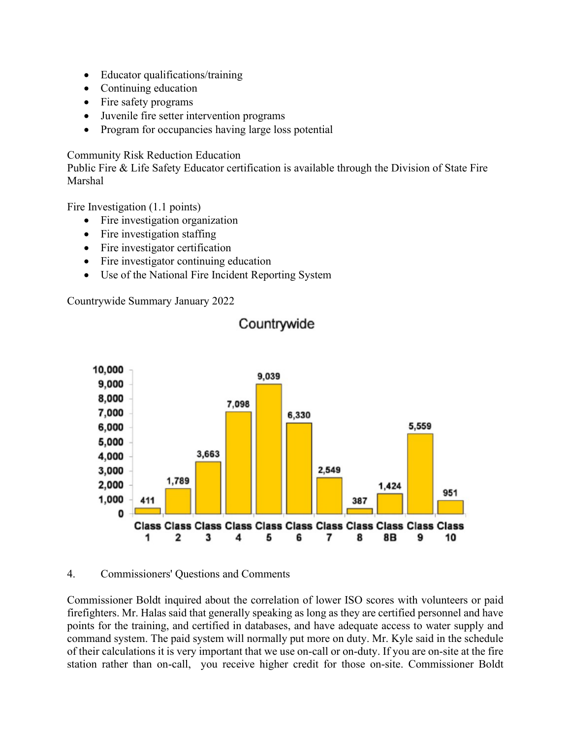- Educator qualifications/training
- Continuing education
- Fire safety programs
- Juvenile fire setter intervention programs
- Program for occupancies having large loss potential

Community Risk Reduction Education

Public Fire & Life Safety Educator certification is available through the Division of State Fire Marshal

Fire Investigation (1.1 points)

- Fire investigation organization
- Fire investigation staffing
- Fire investigator certification
- Fire investigator continuing education
- Use of the National Fire Incident Reporting System

Countrywide Summary January 2022



# Countrywide

#### 4. Commissioners' Questions and Comments

Commissioner Boldt inquired about the correlation of lower ISO scores with volunteers or paid firefighters. Mr. Halas said that generally speaking as long as they are certified personnel and have points for the training, and certified in databases, and have adequate access to water supply and command system. The paid system will normally put more on duty. Mr. Kyle said in the schedule of their calculations it is very important that we use on-call or on-duty. If you are on-site at the fire station rather than on-call, you receive higher credit for those on-site. Commissioner Boldt